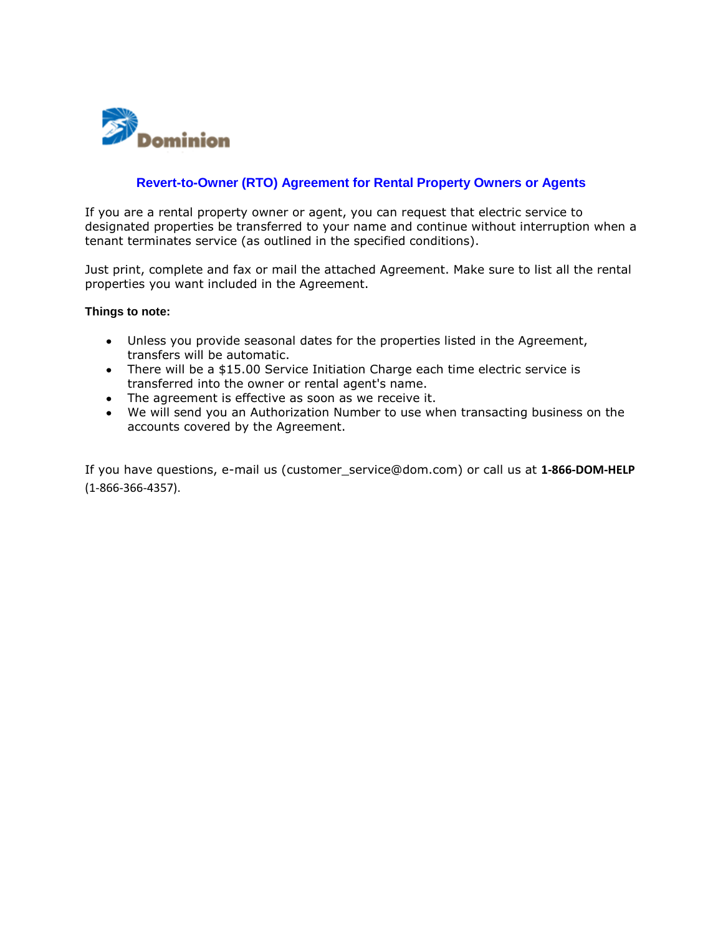

## **Revert-to-Owner (RTO) Agreement for Rental Property Owners or Agents**

If you are a rental property owner or agent, you can request that electric service to designated properties be transferred to your name and continue without interruption when a tenant terminates service (as outlined in the specified conditions).

Just print, complete and fax or mail the attached Agreement. Make sure to list all the rental properties you want included in the Agreement.

## **Things to note:**

- Unless you provide seasonal dates for the properties listed in the Agreement, transfers will be automatic.
- There will be a \$15.00 Service Initiation Charge each time electric service is transferred into the owner or rental agent's name.
- The agreement is effective as soon as we receive it.
- We will send you an Authorization Number to use when transacting business on the accounts covered by the Agreement.

If you have questions, e-mail us (customer\_service@dom.com) or call us at **1-866-DOM-HELP** (1-866-366-4357).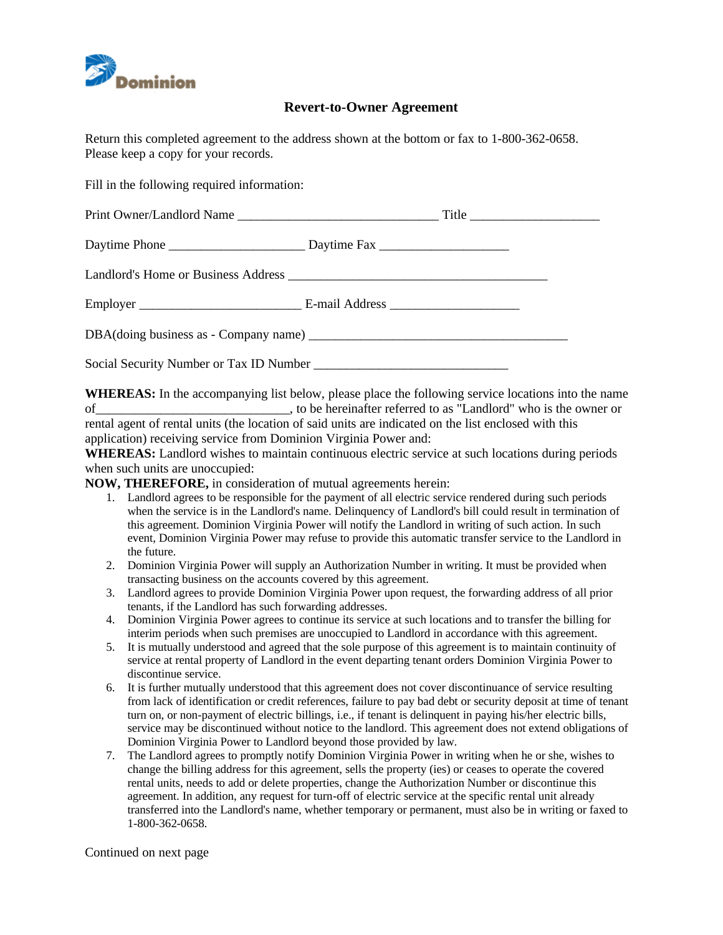

## **Revert-to-Owner Agreement**

Return this completed agreement to the address shown at the bottom or fax to 1-800-362-0658. Please keep a copy for your records.

Fill in the following required information:

**WHEREAS:** In the accompanying list below, please place the following service locations into the name of\_\_\_\_\_\_\_\_\_\_\_\_\_\_\_\_\_\_\_\_\_\_\_\_\_\_\_\_\_\_, to be hereinafter referred to as "Landlord" who is the owner or rental agent of rental units (the location of said units are indicated on the list enclosed with this application) receiving service from Dominion Virginia Power and:

**WHEREAS:** Landlord wishes to maintain continuous electric service at such locations during periods when such units are unoccupied:

**NOW, THEREFORE,** in consideration of mutual agreements herein:

- 1. Landlord agrees to be responsible for the payment of all electric service rendered during such periods when the service is in the Landlord's name. Delinquency of Landlord's bill could result in termination of this agreement. Dominion Virginia Power will notify the Landlord in writing of such action. In such event, Dominion Virginia Power may refuse to provide this automatic transfer service to the Landlord in the future.
- 2. Dominion Virginia Power will supply an Authorization Number in writing. It must be provided when transacting business on the accounts covered by this agreement.
- 3. Landlord agrees to provide Dominion Virginia Power upon request, the forwarding address of all prior tenants, if the Landlord has such forwarding addresses.
- 4. Dominion Virginia Power agrees to continue its service at such locations and to transfer the billing for interim periods when such premises are unoccupied to Landlord in accordance with this agreement.
- 5. It is mutually understood and agreed that the sole purpose of this agreement is to maintain continuity of service at rental property of Landlord in the event departing tenant orders Dominion Virginia Power to discontinue service.
- 6. It is further mutually understood that this agreement does not cover discontinuance of service resulting from lack of identification or credit references, failure to pay bad debt or security deposit at time of tenant turn on, or non-payment of electric billings, i.e., if tenant is delinquent in paying his/her electric bills, service may be discontinued without notice to the landlord. This agreement does not extend obligations of Dominion Virginia Power to Landlord beyond those provided by law.
- 7. The Landlord agrees to promptly notify Dominion Virginia Power in writing when he or she, wishes to change the billing address for this agreement, sells the property (ies) or ceases to operate the covered rental units, needs to add or delete properties, change the Authorization Number or discontinue this agreement. In addition, any request for turn-off of electric service at the specific rental unit already transferred into the Landlord's name, whether temporary or permanent, must also be in writing or faxed to 1-800-362-0658.

Continued on next page